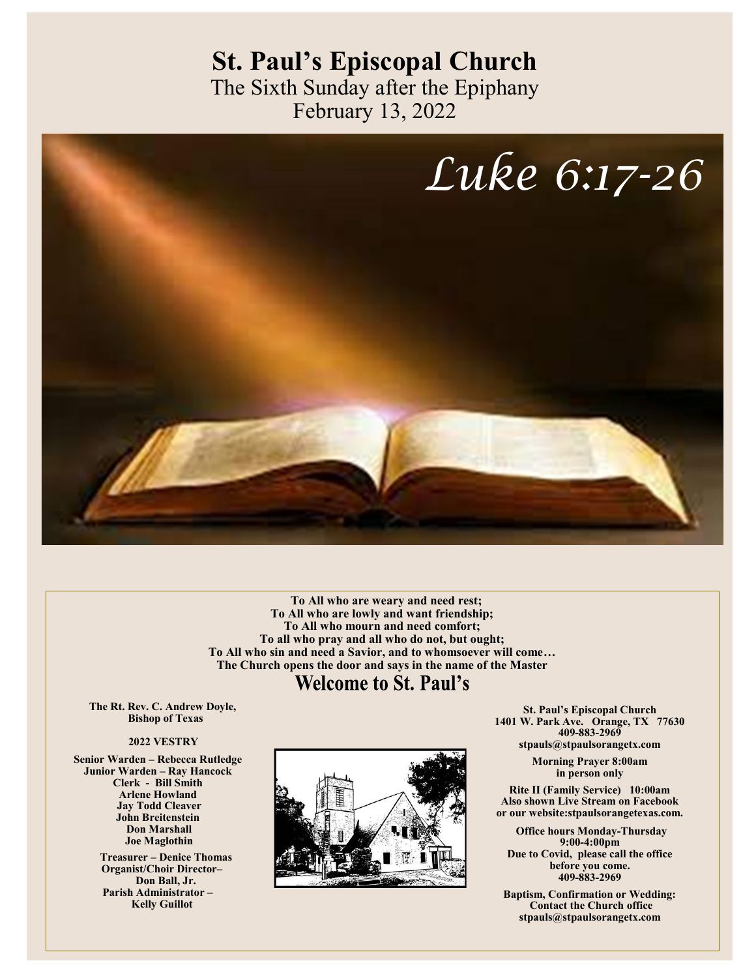# **St. Paul's Episcopal Church** The Sixth Sunday after the Epiphany



 **To All who are weary and need rest; To All who are lowly and want friendship; To All who mourn and need comfort; To all who pray and all who do not, but ought; To All who sin and need a Savior, and to whomsoever will come… The Church opens the door and says in the name of the Master**

# **Welcome to St. Paul's**

 **The Rt. Rev. C. Andrew Doyle, Bishop of Texas** 

### **2022 VESTRY**

**Senior Warden – Rebecca Rutledge Junior Warden – Ray Hancock Clerk - Bill Smith Arlene Howland Jay Todd Cleaver John Breitenstein Don Marshall Joe Maglothin** 

> **Treasurer – Denice Thomas Organist/Choir Director– Don Ball, Jr. Parish Administrator – Kelly Guillot**



**St. Paul's Episcopal Church 1401 W. Park Ave. Orange, TX 77630 409-883-2969 stpauls@stpaulsorangetx.com**

> **Morning Prayer 8:00am in person only**

**Rite II (Family Service) 10:00am Also shown Live Stream on Facebook or our website:stpaulsorangetexas.com.**

 **Office hours Monday-Thursday 9:00-4:00pm Due to Covid, please call the office before you come. 409-883-2969**

**Baptism, Confirmation or Wedding: Contact the Church office stpauls@stpaulsorangetx.com**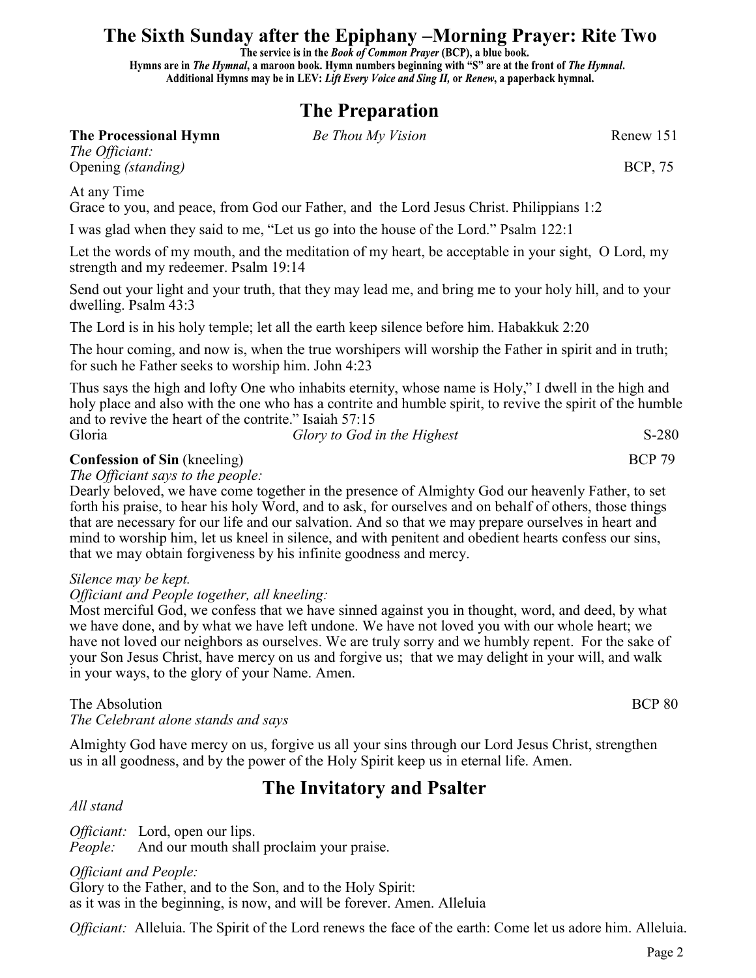# **The Sixth Sunday after the Epiphany –Morning Prayer: Rite Two**<br>The service is in the *Book of Common Prayer* (BCP), a blue book.

Hymns are in *The Hymnal*, a maroon book. Hymn numbers beginning with "S" are at the front of The Hymnal. Additional Hymns may be in LEV: Lift Every Voice and Sing II, or Renew, a paperback hymnal.

# **The Preparation**

### **The Processional Hymn** *Be Thou My Vision* Renew 151

*The Officiant:* Opening *(standing)* **BCP**, 75

At any Time

Grace to you, and peace, from God our Father, and the Lord Jesus Christ. Philippians 1:2

I was glad when they said to me, "Let us go into the house of the Lord." Psalm 122:1

Let the words of my mouth, and the meditation of my heart, be acceptable in your sight, O Lord, my strength and my redeemer. Psalm 19:14

Send out your light and your truth, that they may lead me, and bring me to your holy hill, and to your dwelling. Psalm 43:3

The Lord is in his holy temple; let all the earth keep silence before him. Habakkuk 2:20

The hour coming, and now is, when the true worshipers will worship the Father in spirit and in truth; for such he Father seeks to worship him. John 4:23

Thus says the high and lofty One who inhabits eternity, whose name is Holy," I dwell in the high and holy place and also with the one who has a contrite and humble spirit, to revive the spirit of the humble and to revive the heart of the contrite." Isaiah 57:15 Gloria *Glory to God in the Highest* S-280

**Confession of Sin** (kneeling) **BCP** 79

*The Officiant says to the people:*

Dearly beloved, we have come together in the presence of Almighty God our heavenly Father, to set forth his praise, to hear his holy Word, and to ask, for ourselves and on behalf of others, those things that are necessary for our life and our salvation. And so that we may prepare ourselves in heart and mind to worship him, let us kneel in silence, and with penitent and obedient hearts confess our sins, that we may obtain forgiveness by his infinite goodness and mercy.

### *Silence may be kept.*

### *Officiant and People together, all kneeling:*

Most merciful God, we confess that we have sinned against you in thought, word, and deed, by what we have done, and by what we have left undone. We have not loved you with our whole heart; we have not loved our neighbors as ourselves. We are truly sorry and we humbly repent. For the sake of your Son Jesus Christ, have mercy on us and forgive us; that we may delight in your will, and walk in your ways, to the glory of your Name. Amen.

The Absolution BCP 80 *The Celebrant alone stands and says*

Almighty God have mercy on us, forgive us all your sins through our Lord Jesus Christ, strengthen us in all goodness, and by the power of the Holy Spirit keep us in eternal life. Amen.

# **The Invitatory and Psalter**

*All stand*

*Officiant:* Lord, open our lips. *People:* And our mouth shall proclaim your praise.

### *Officiant and People:*

Glory to the Father, and to the Son, and to the Holy Spirit: as it was in the beginning, is now, and will be forever. Amen. Alleluia

*Officiant:* Alleluia. The Spirit of the Lord renews the face of the earth: Come let us adore him. Alleluia.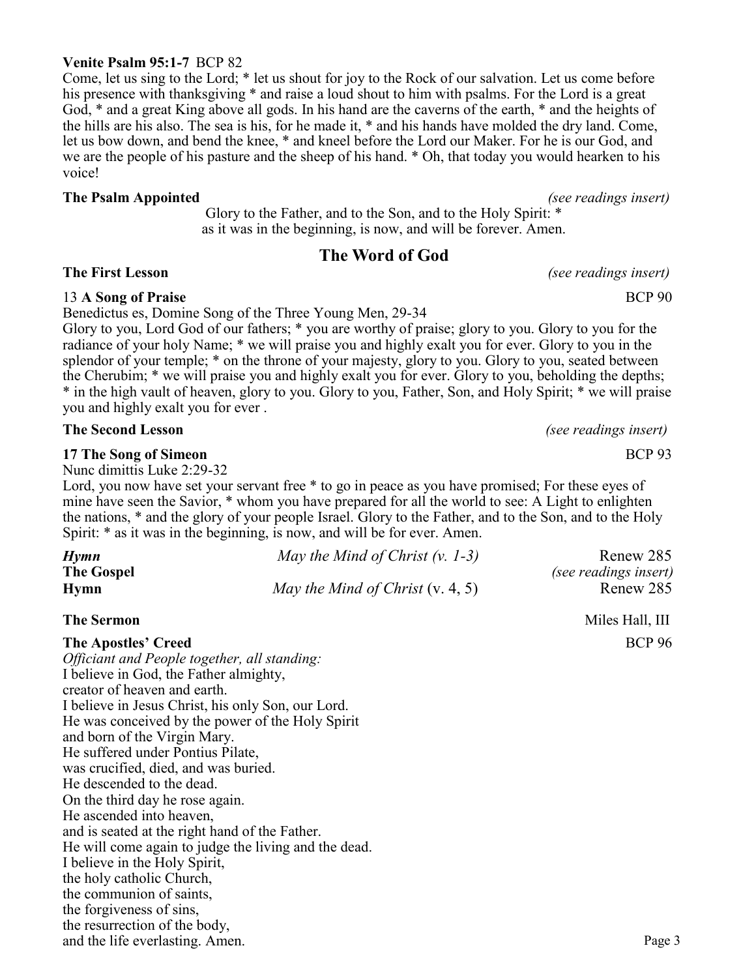### **Venite Psalm 95:1-7** BCP 82

Come, let us sing to the Lord; \* let us shout for joy to the Rock of our salvation. Let us come before his presence with thanksgiving \* and raise a loud shout to him with psalms. For the Lord is a great God, \* and a great King above all gods. In his hand are the caverns of the earth, \* and the heights of the hills are his also. The sea is his, for he made it, \* and his hands have molded the dry land. Come, let us bow down, and bend the knee, \* and kneel before the Lord our Maker. For he is our God, and we are the people of his pasture and the sheep of his hand. \* Oh, that today you would hearken to his voice! 

### **The Psalm Appointed** *(see readings insert)*

Glory to the Father, and to the Son, and to the Holy Spirit: \* as it was in the beginning, is now, and will be forever. Amen.

### **The Word of God**

13 **A Song of Praise** BCP 90 Benedictus es, Domine Song of the Three Young Men, 29-34

Glory to you, Lord God of our fathers; \* you are worthy of praise; glory to you. Glory to you for the radiance of your holy Name; \* we will praise you and highly exalt you for ever. Glory to you in the splendor of your temple; \* on the throne of your majesty, glory to you. Glory to you, seated between the Cherubim; \* we will praise you and highly exalt you for ever. Glory to you, beholding the depths; \* in the high vault of heaven, glory to you. Glory to you, Father, Son, and Holy Spirit; \* we will praise you and highly exalt you for ever .

### **The Second Lesson** *(see readings insert)*

### **17 The Song of Simeon BCP 93**

Nunc dimittis Luke 2:29-32

Lord, you now have set your servant free  $*$  to go in peace as you have promised; For these eyes of mine have seen the Savior, \* whom you have prepared for all the world to see: A Light to enlighten the nations, \* and the glory of your people Israel. Glory to the Father, and to the Son, and to the Holy Spirit: \* as it was in the beginning, is now, and will be for ever. Amen.

| Hymn              | May the Mind of Christ $(v. 1-3)$  | Renew 285             |
|-------------------|------------------------------------|-----------------------|
| <b>The Gospel</b> |                                    | (see readings insert) |
| Hymn              | May the Mind of Christ $(v. 4, 5)$ | Renew 285             |

### **The Apostles' Creed BCP 96**

*Officiant and People together, all standing:* I believe in God, the Father almighty, creator of heaven and earth. I believe in Jesus Christ, his only Son, our Lord. He was conceived by the power of the Holy Spirit and born of the Virgin Mary. He suffered under Pontius Pilate, was crucified, died, and was buried. He descended to the dead. On the third day he rose again. He ascended into heaven, and is seated at the right hand of the Father. He will come again to judge the living and the dead. I believe in the Holy Spirit, the holy catholic Church, the communion of saints, the forgiveness of sins, the resurrection of the body, and the life everlasting. Amen. **Page 3** and the life everlasting. Amen.

**The First Lesson** *(see readings insert)*

**The Sermon Miles Hall, III**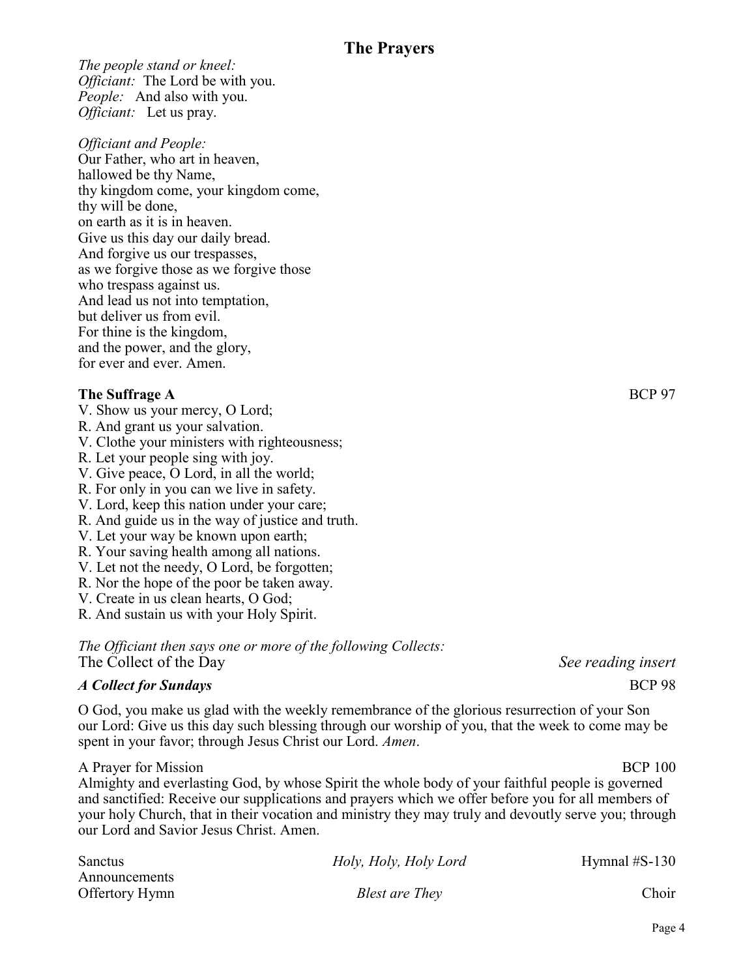*The people stand or kneel: Officiant:* The Lord be with you. *People:* And also with you. *Officiant:* Let us pray.

*Officiant and People:* Our Father, who art in heaven, hallowed be thy Name, thy kingdom come, your kingdom come, thy will be done, on earth as it is in heaven. Give us this day our daily bread. And forgive us our trespasses, as we forgive those as we forgive those who trespass against us. And lead us not into temptation, but deliver us from evil. For thine is the kingdom, and the power, and the glory, for ever and ever. Amen.

### **The Suffrage A** BCP 97

- V. Show us your mercy, O Lord;
- R. And grant us your salvation.
- V. Clothe your ministers with righteousness;
- R. Let your people sing with joy.
- V. Give peace, O Lord, in all the world;
- R. For only in you can we live in safety.
- V. Lord, keep this nation under your care;
- R. And guide us in the way of justice and truth.
- V. Let your way be known upon earth;
- R. Your saving health among all nations.
- V. Let not the needy, O Lord, be forgotten;
- R. Nor the hope of the poor be taken away.
- V. Create in us clean hearts, O God;
- R. And sustain us with your Holy Spirit.

*The Officiant then says one or more of the following Collects:* The Collect of the Day *See reading insert*

### *A Collect for Sundays* BCP 98

O God, you make us glad with the weekly remembrance of the glorious resurrection of your Son our Lord: Give us this day such blessing through our worship of you, that the week to come may be spent in your favor; through Jesus Christ our Lord. *Amen*.

### A Prayer for Mission BCP 100

Almighty and everlasting God, by whose Spirit the whole body of your faithful people is governed and sanctified: Receive our supplications and prayers which we offer before you for all members of your holy Church, that in their vocation and ministry they may truly and devoutly serve you; through our Lord and Savior Jesus Christ. Amen.

| Sanctus        | Holy, Holy, Holy Lord | Hymnal $#S-130$ |
|----------------|-----------------------|-----------------|
| Announcements  |                       |                 |
| Offertory Hymn | Blest are They        | Choir           |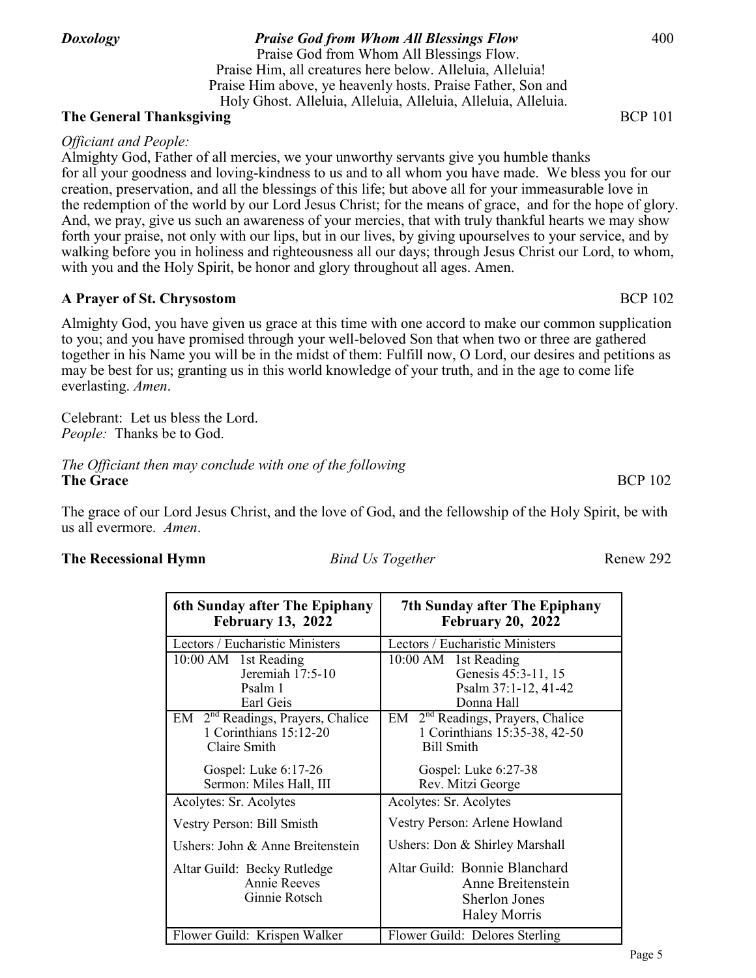### *Doxology Praise God from Whom All Blessings Flow* 400 Praise God from Whom All Blessings Flow. Praise Him, all creatures here below. Alleluia, Alleluia! Praise Him above, ye heavenly hosts. Praise Father, Son and Holy Ghost. Alleluia, Alleluia, Alleluia, Alleluia, Alleluia.

### **The General Thanksgiving** BCP 101

### *Officiant and People:*

Almighty God, Father of all mercies, we your unworthy servants give you humble thanks for all your goodness and loving-kindness to us and to all whom you have made. We bless you for our creation, preservation, and all the blessings of this life; but above all for your immeasurable love in the redemption of the world by our Lord Jesus Christ; for the means of grace, and for the hope of glory. And, we pray, give us such an awareness of your mercies, that with truly thankful hearts we may show forth your praise, not only with our lips, but in our lives, by giving upourselves to your service, and by walking before you in holiness and righteousness all our days; through Jesus Christ our Lord, to whom, with you and the Holy Spirit, be honor and glory throughout all ages. Amen.

### **A Prayer of St. Chrysostom** BCP 102

Almighty God, you have given us grace at this time with one accord to make our common supplication to you; and you have promised through your well-beloved Son that when two or three are gathered together in his Name you will be in the midst of them: Fulfill now, O Lord, our desires and petitions as may be best for us; granting us in this world knowledge of your truth, and in the age to come life everlasting. *Amen*.

Celebrant: Let us bless the Lord. *People:* Thanks be to God.

*The Officiant then may conclude with one of the following* **The Grace** BCP 102

The grace of our Lord Jesus Christ, and the love of God, and the fellowship of the Holy Spirit, be with us all evermore. *Amen*.

### **The Recessional Hymn** *Bind Us Together* Renew 292

**6th Sunday after The Epiphany February 13, 2022 7th Sunday after The Epiphany February 20, 2022** Lectors / Eucharistic Ministers | Lectors / Eucharistic Ministers 10:00 AM 1st Reading Jeremiah 17:5-10 Psalm 1 Earl Geis 10:00 AM 1st Reading Genesis 45:3-11, 15 Psalm 37:1-12, 41-42 Donna Hall EM 2<sup>nd</sup> Readings, Prayers, Chalice 1 Corinthians 15:12-20 Claire Smith Gospel: Luke 6:17-26 Sermon: Miles Hall, III EM 2<sup>nd</sup> Readings, Prayers, Chalice 1 Corinthians 15:35-38, 42-50 Bill Smith Gospel: Luke 6:27-38 Rev. Mitzi George Acolytes: Sr. Acolytes Vestry Person: Bill Smisth Ushers: John & Anne Breitenstein Altar Guild: Becky Rutledge Annie Reeves Ginnie Rotsch Acolytes: Sr. Acolytes Vestry Person: Arlene Howland Ushers: Don & Shirley Marshall Altar Guild: Bonnie Blanchard Anne Breitenstein Sherlon Jones Haley Morris

Flower Guild: Krispen Walker | Flower Guild: Delores Sterling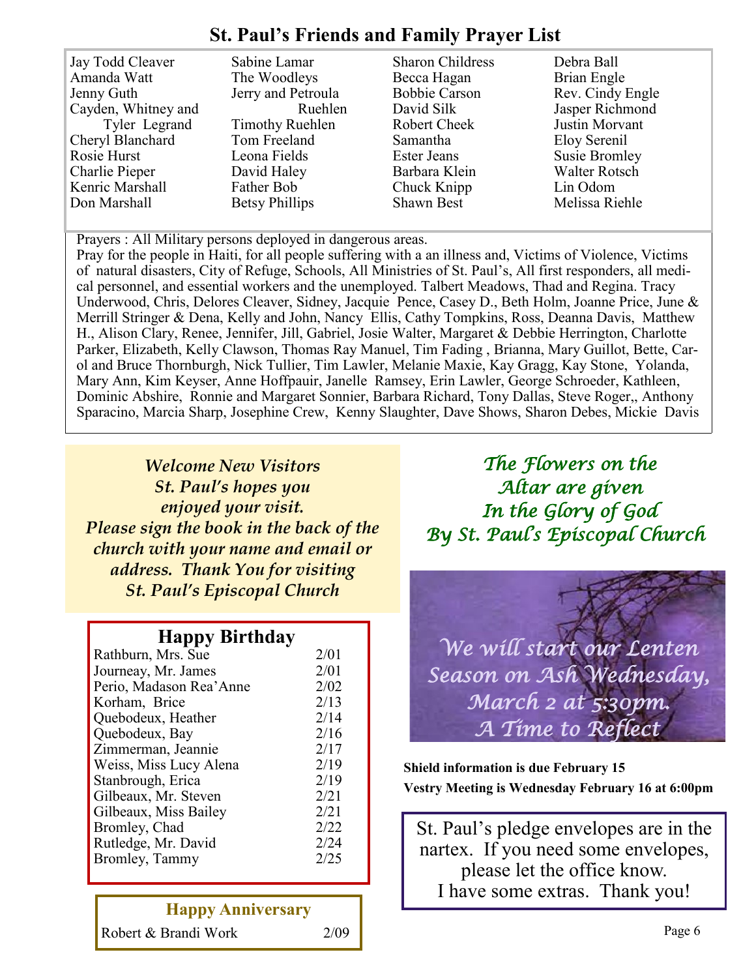# **St. Paul's Friends and Family Prayer List**

| Jay Todd Cleaver<br>Amanda Watt<br>Jenny Guth | Sabine Lamar<br>The Woodleys<br>Jerry and Petroula | <b>Sharon Childress</b><br>Becca Hagan<br><b>Bobbie Carson</b> | Debra Ball<br>Brian Engle<br>Rev. Cindy Engle |
|-----------------------------------------------|----------------------------------------------------|----------------------------------------------------------------|-----------------------------------------------|
| Cayden, Whitney and                           | Ruehlen                                            | David Silk                                                     | Jasper Richmond                               |
| Tyler Legrand                                 | <b>Timothy Ruehlen</b>                             | Robert Cheek                                                   | Justin Morvant                                |
| Cheryl Blanchard                              | Tom Freeland                                       | Samantha                                                       | Eloy Serenil                                  |
| Rosie Hurst                                   | Leona Fields                                       | <b>Ester Jeans</b>                                             | <b>Susie Bromley</b>                          |
| Charlie Pieper                                | David Haley                                        | Barbara Klein                                                  | <b>Walter Rotsch</b>                          |
| Kenric Marshall                               | Father Bob                                         | Chuck Knipp                                                    | Lin Odom                                      |
| Don Marshall                                  | <b>Betsy Phillips</b>                              | <b>Shawn Best</b>                                              | Melissa Riehle                                |

Prayers : All Military persons deployed in dangerous areas.

Pray for the people in Haiti, for all people suffering with a an illness and, Victims of Violence, Victims of natural disasters, City of Refuge, Schools, All Ministries of St. Paul's, All first responders, all medical personnel, and essential workers and the unemployed. Talbert Meadows, Thad and Regina. Tracy Underwood, Chris, Delores Cleaver, Sidney, Jacquie Pence, Casey D., Beth Holm, Joanne Price, June & Merrill Stringer & Dena, Kelly and John, Nancy Ellis, Cathy Tompkins, Ross, Deanna Davis, Matthew H., Alison Clary, Renee, Jennifer, Jill, Gabriel, Josie Walter, Margaret & Debbie Herrington, Charlotte Parker, Elizabeth, Kelly Clawson, Thomas Ray Manuel, Tim Fading , Brianna, Mary Guillot, Bette, Carol and Bruce Thornburgh, Nick Tullier, Tim Lawler, Melanie Maxie, Kay Gragg, Kay Stone, Yolanda, Mary Ann, Kim Keyser, Anne Hoffpauir, Janelle Ramsey, Erin Lawler, George Schroeder, Kathleen, Dominic Abshire, Ronnie and Margaret Sonnier, Barbara Richard, Tony Dallas, Steve Roger,, Anthony Sparacino, Marcia Sharp, Josephine Crew, Kenny Slaughter, Dave Shows, Sharon Debes, Mickie Davis

*Welcome New Visitors St. Paul's hopes you enjoyed your visit. Please sign the book in the back of the church with your name and email or address. Thank You for visiting St. Paul's Episcopal Church*

# **Happy Birthday**

| --- 1- 1- <i>-1</i>     |      |
|-------------------------|------|
| Rathburn, Mrs. Sue      | 2/01 |
| Journeay, Mr. James     | 2/01 |
| Perio, Madason Rea'Anne | 2/02 |
| Korham, Brice           | 2/13 |
| Quebodeux, Heather      | 2/14 |
| Quebodeux, Bay          | 2/16 |
| Zimmerman, Jeannie      | 2/17 |
| Weiss, Miss Lucy Alena  | 2/19 |
| Stanbrough, Erica       | 2/19 |
| Gilbeaux, Mr. Steven    | 2/21 |
| Gilbeaux, Miss Bailey   | 2/21 |
| Bromley, Chad           | 2/22 |
| Rutledge, Mr. David     | 2/24 |
| Bromley, Tammy          | 2/25 |
|                         |      |

## **Happy Anniversary**

Robert & Brandi Work 2/09

*The Flowers on the Altar are given In the Glory of God By St. Paul's Episcopal Church*

*We will start our Lenten Season on Ash Wednesday, March 2 at 5:30pm. A Time to Reflect* 

**Shield information is due February 15 Vestry Meeting is Wednesday February 16 at 6:00pm**

St. Paul's pledge envelopes are in the nartex. If you need some envelopes, please let the office know. I have some extras. Thank you!